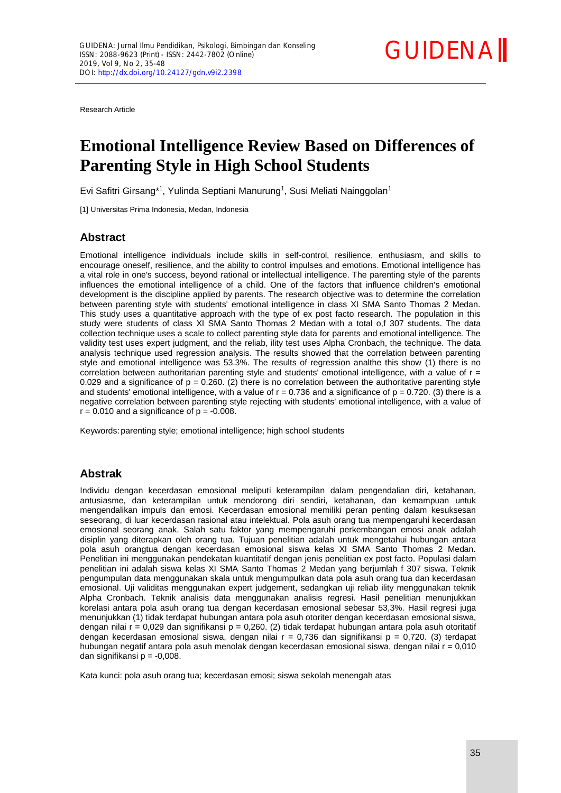Research Article

# **[Emotional Intelligence Review Based on Differences of](http://ojs.fkip.ummetro.ac.id/index.php/bk/editor/submissionReview/2398) [Parenting Style in High School Students](http://ojs.fkip.ummetro.ac.id/index.php/bk/editor/submissionReview/2398)**

Evi Safitri Girsang\*<sup>1</sup>, Yulinda Septiani Manurung<sup>1</sup>, Susi Meliati Nainggolan<sup>1</sup>

[1] Universitas Prima Indonesia, Medan, Indonesia

# **Abstract**

Emotional intelligence individuals include skills in self-control, resilience, enthusiasm, and skills to encourage oneself, resilience, and the ability to control impulses and emotions. Emotional intelligence has a vital role in one's success, beyond rational or intellectual intelligence. The parenting style of the parents influences the emotional intelligence of a child. One of the factors that influence children's emotional development is the discipline applied by parents. The research objective was to determine the correlation between parenting style with students' emotional intelligence in class XI SMA Santo Thomas 2 Medan. This study uses a quantitative approach with the type of ex post facto research. The population in this study were students of class XI SMA Santo Thomas 2 Medan with a total o,f 307 students. The data collection technique uses a scale to collect parenting style data for parents and emotional intelligence. The validity test uses expert judgment, and the reliab, ility test uses Alpha Cronbach, the technique. The data analysis technique used regression analysis. The results showed that the correlation between parenting style and emotional intelligence was 53.3%. The results of regression analthe this show (1) there is no correlation between authoritarian parenting style and students' emotional intelligence, with a value of  $r =$ 0.029 and a significance of  $p = 0.260$ . (2) there is no correlation between the authoritative parenting style and students' emotional intelligence, with a value of  $r = 0.736$  and a significance of  $p = 0.720$ . (3) there is a negative correlation between parenting style rejecting with students' emotional intelligence, with a value of  $r = 0.010$  and a significance of  $p = -0.008$ .

Keywords:parenting style; emotional intelligence; high school students

## **Abstrak**

Individu dengan kecerdasan emosional meliputi keterampilan dalam pengendalian diri, ketahanan, antusiasme, dan keterampilan untuk mendorong diri sendiri, ketahanan, dan kemampuan untuk mengendalikan impuls dan emosi. Kecerdasan emosional memiliki peran penting dalam kesuksesan seseorang, di luar kecerdasan rasional atau intelektual. Pola asuh orang tua mempengaruhi kecerdasan emosional seorang anak. Salah satu faktor yang mempengaruhi perkembangan emosi anak adalah disiplin yang diterapkan oleh orang tua. Tujuan penelitian adalah untuk mengetahui hubungan antara pola asuh orangtua dengan kecerdasan emosional siswa kelas XI SMA Santo Thomas 2 Medan. Penelitian ini menggunakan pendekatan kuantitatif dengan jenis penelitian ex post facto. Populasi dalam penelitian ini adalah siswa kelas XI SMA Santo Thomas 2 Medan yang berjumlah f 307 siswa. Teknik pengumpulan data menggunakan skala untuk mengumpulkan data pola asuh orang tua dan kecerdasan emosional. Uji validitas menggunakan expert judgement, sedangkan uji reliab ility menggunakan teknik Alpha Cronbach. Teknik analisis data menggunakan analisis regresi. Hasil penelitian menunjukkan korelasi antara pola asuh orang tua dengan kecerdasan emosional sebesar 53,3%. Hasil regresi juga menunjukkan (1) tidak terdapat hubungan antara pola asuh otoriter dengan kecerdasan emosional siswa, dengan nilai r = 0,029 dan signifikansi p = 0,260. (2) tidak terdapat hubungan antara pola asuh otoritatif dengan kecerdasan emosional siswa, dengan nilai  $r = 0.736$  dan signifikansi  $p = 0.720$ . (3) terdapat hubungan negatif antara pola asuh menolak dengan kecerdasan emosional siswa, dengan nilai  $r = 0.010$ dan signifikansi  $p = -0,008$ .

Kata kunci: pola asuh orang tua; kecerdasan emosi; siswa sekolah menengah atas

**[GUIDENA](http://ojs.fkip.ummetro.ac.id/index.php/bk)I**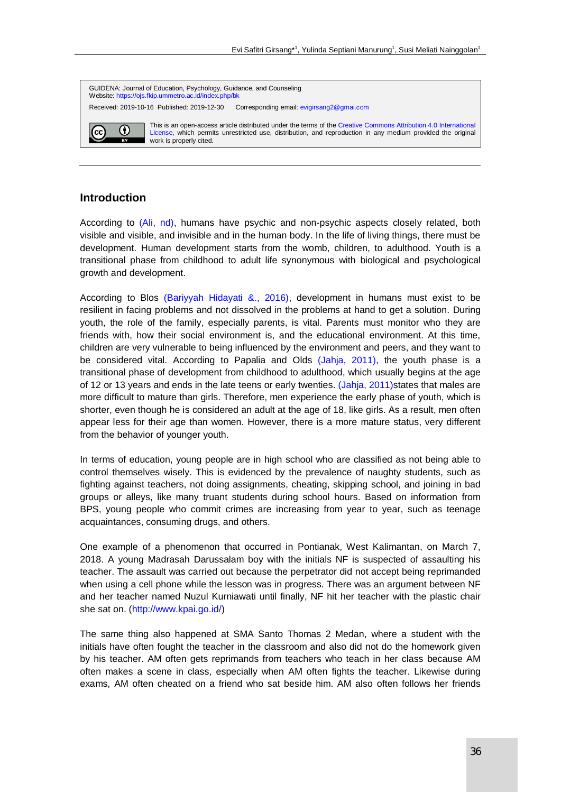

# **Introduction**

According to (Ali, nd), humans have psychic and non-psychic aspects closely related, both visible and visible, and invisible and in the human body. In the life of living things, there must be development. Human development starts from the womb, children, to adulthood. Youth is a transitional phase from childhood to adult life synonymous with biological and psychological growth and development.

According to Blos (Bariyyah Hidayati &., 2016), development in humans must exist to be resilient in facing problems and not dissolved in the problems at hand to get a solution. During youth, the role of the family, especially parents, is vital. Parents must monitor who they are friends with, how their social environment is, and the educational environment. At this time, children are very vulnerable to being influenced by the environment and peers, and they want to be considered vital. According to Papalia and Olds (Jahja, 2011), the youth phase is a transitional phase of development from childhood to adulthood, which usually begins at the age of 12 or 13 years and ends in the late teens or early twenties. (Jahja, 2011) states that males are more difficult to mature than girls. Therefore, men experience the early phase of youth, which is shorter, even though he is considered an adult at the age of 18, like girls. As a result, men often appear less for their age than women. However, there is a more mature status, very different from the behavior of younger youth.

In terms of education, young people are in high school who are classified as not being able to control themselves wisely. This is evidenced by the prevalence of naughty students, such as fighting against teachers, not doing assignments, cheating, skipping school, and joining in bad groups or alleys, like many truant students during school hours. Based on information from BPS, young people who commit crimes are increasing from year to year, such as teenage acquaintances, consuming drugs, and others.

One example of a phenomenon that occurred in Pontianak, West Kalimantan, on March 7, 2018. A young Madrasah Darussalam boy with the initials NF is suspected of assaulting his teacher. The assault was carried out because the perpetrator did not accept being reprimanded when using a cell phone while the lesson was in progress. There was an argument between NF and her teacher named Nuzul Kurniawati until finally, NF hit her teacher with the plastic chair she sat on. [\(http://www.kpai.go.id/\)](http://www.kpai.go.id/)

The same thing also happened at SMA Santo Thomas 2 Medan, where a student with the initials have often fought the teacher in the classroom and also did not do the homework given by his teacher. AM often gets reprimands from teachers who teach in her class because AM often makes a scene in class, especially when AM often fights the teacher. Likewise during exams, AM often cheated on a friend who sat beside him. AM also often follows her friends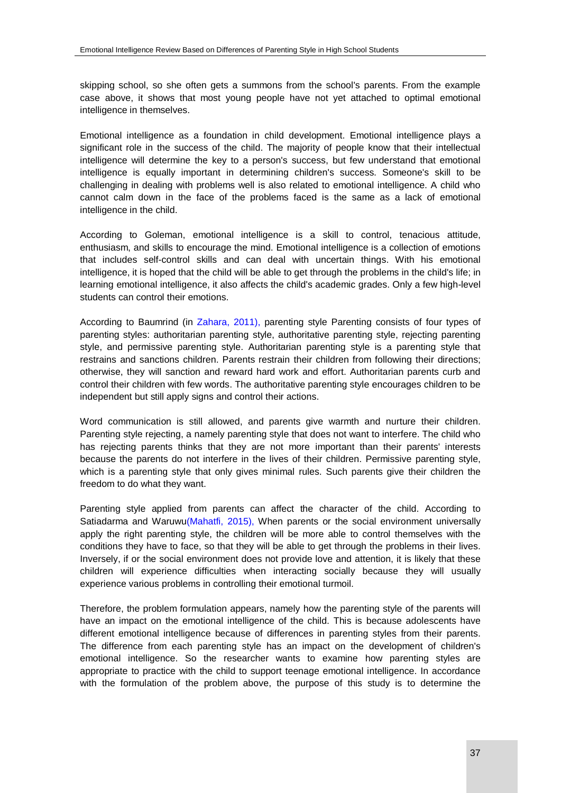skipping school, so she often gets a summons from the school's parents. From the example case above, it shows that most young people have not yet attached to optimal emotional intelligence in themselves.

Emotional intelligence as a foundation in child development. Emotional intelligence plays a significant role in the success of the child. The majority of people know that their intellectual intelligence will determine the key to a person's success, but few understand that emotional intelligence is equally important in determining children's success. Someone's skill to be challenging in dealing with problems well is also related to emotional intelligence. A child who cannot calm down in the face of the problems faced is the same as a lack of emotional intelligence in the child.

According to Goleman, emotional intelligence is a skill to control, tenacious attitude, enthusiasm, and skills to encourage the mind. Emotional intelligence is a collection of emotions that includes self-control skills and can deal with uncertain things. With his emotional intelligence, it is hoped that the child will be able to get through the problems in the child's life; in learning emotional intelligence, it also affects the child's academic grades. Only a few high-level students can control their emotions.

According to Baumrind (in Zahara, 2011), parenting style Parenting consists of four types of parenting styles: authoritarian parenting style, authoritative parenting style, rejecting parenting style, and permissive parenting style. Authoritarian parenting style is a parenting style that restrains and sanctions children. Parents restrain their children from following their directions; otherwise, they will sanction and reward hard work and effort. Authoritarian parents curb and control their children with few words. The authoritative parenting style encourages children to be independent but still apply signs and control their actions.

Word communication is still allowed, and parents give warmth and nurture their children. Parenting style rejecting, a namely parenting style that does not want to interfere. The child who has rejecting parents thinks that they are not more important than their parents' interests because the parents do not interfere in the lives of their children. Permissive parenting style, which is a parenting style that only gives minimal rules. Such parents give their children the freedom to do what they want.

Parenting style applied from parents can affect the character of the child. According to Satiadarma and Waruwu(Mahatfi, 2015), When parents or the social environment universally apply the right parenting style, the children will be more able to control themselves with the conditions they have to face, so that they will be able to get through the problems in their lives. Inversely, if or the social environment does not provide love and attention, it is likely that these children will experience difficulties when interacting socially because they will usually experience various problems in controlling their emotional turmoil.

Therefore, the problem formulation appears, namely how the parenting style of the parents will have an impact on the emotional intelligence of the child. This is because adolescents have different emotional intelligence because of differences in parenting styles from their parents. The difference from each parenting style has an impact on the development of children's emotional intelligence. So the researcher wants to examine how parenting styles are appropriate to practice with the child to support teenage emotional intelligence. In accordance with the formulation of the problem above, the purpose of this study is to determine the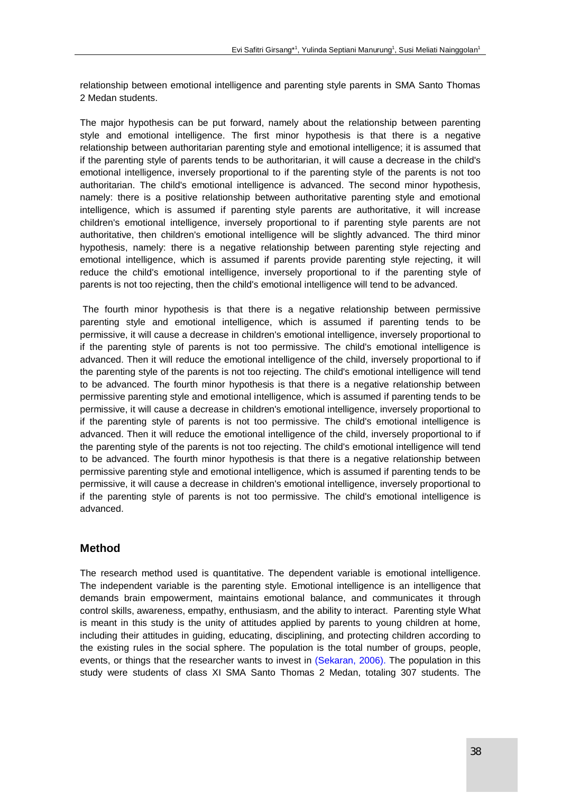relationship between emotional intelligence and parenting style parents in SMA Santo Thomas 2 Medan students.

The major hypothesis can be put forward, namely about the relationship between parenting style and emotional intelligence. The first minor hypothesis is that there is a negative relationship between authoritarian parenting style and emotional intelligence; it is assumed that if the parenting style of parents tends to be authoritarian, it will cause a decrease in the child's emotional intelligence, inversely proportional to if the parenting style of the parents is not too authoritarian. The child's emotional intelligence is advanced. The second minor hypothesis, namely: there is a positive relationship between authoritative parenting style and emotional intelligence, which is assumed if parenting style parents are authoritative, it will increase children's emotional intelligence, inversely proportional to if parenting style parents are not authoritative, then children's emotional intelligence will be slightly advanced. The third minor hypothesis, namely: there is a negative relationship between parenting style rejecting and emotional intelligence, which is assumed if parents provide parenting style rejecting, it will reduce the child's emotional intelligence, inversely proportional to if the parenting style of parents is not too rejecting, then the child's emotional intelligence will tend to be advanced.

The fourth minor hypothesis is that there is a negative relationship between permissive parenting style and emotional intelligence, which is assumed if parenting tends to be permissive, it will cause a decrease in children's emotional intelligence, inversely proportional to if the parenting style of parents is not too permissive. The child's emotional intelligence is advanced. Then it will reduce the emotional intelligence of the child, inversely proportional to if the parenting style of the parents is not too rejecting. The child's emotional intelligence will tend to be advanced. The fourth minor hypothesis is that there is a negative relationship between permissive parenting style and emotional intelligence, which is assumed if parenting tends to be permissive, it will cause a decrease in children's emotional intelligence, inversely proportional to if the parenting style of parents is not too permissive. The child's emotional intelligence is advanced. Then it will reduce the emotional intelligence of the child, inversely proportional to if the parenting style of the parents is not too rejecting. The child's emotional intelligence will tend to be advanced. The fourth minor hypothesis is that there is a negative relationship between permissive parenting style and emotional intelligence, which is assumed if parenting tends to be permissive, it will cause a decrease in children's emotional intelligence, inversely proportional to if the parenting style of parents is not too permissive. The child's emotional intelligence is advanced.

# **Method**

The research method used is quantitative. The dependent variable is emotional intelligence. The independent variable is the parenting style. Emotional intelligence is an intelligence that demands brain empowerment, maintains emotional balance, and communicates it through control skills, awareness, empathy, enthusiasm, and the ability to interact. Parenting style What is meant in this study is the unity of attitudes applied by parents to young children at home, including their attitudes in guiding, educating, disciplining, and protecting children according to the existing rules in the social sphere. The population is the total number of groups, people, events, or things that the researcher wants to invest in (Sekaran, 2006). The population in this study were students of class XI SMA Santo Thomas 2 Medan, totaling 307 students. The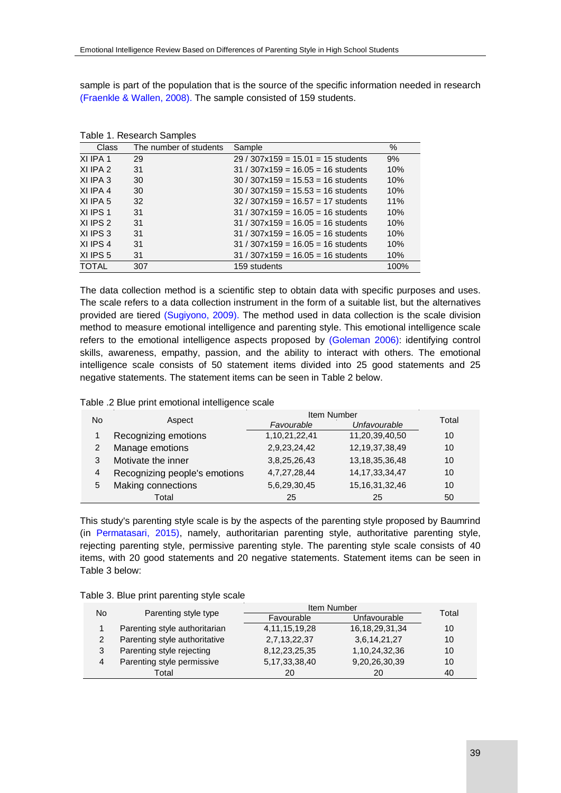sample is part of the population that is the source of the specific information needed in research (Fraenkle & Wallen, 2008). The sample consisted of 159 students.

|              | rabio 1. roscaron campios |                                      |      |
|--------------|---------------------------|--------------------------------------|------|
| <b>Class</b> | The number of students    | Sample                               | %    |
| XI IPA 1     | 29                        | $29/307x159 = 15.01 = 15$ students   | 9%   |
| XI IPA 2     | 31                        | $31 / 307x159 = 16.05 = 16$ students | 10%  |
| XI IPA 3     | 30                        | $30 / 307x159 = 15.53 = 16$ students | 10%  |
| XI IPA 4     | 30                        | $30 / 307x159 = 15.53 = 16$ students | 10%  |
| XI IPA 5     | 32                        | $32/307x159 = 16.57 = 17$ students   | 11%  |
| XI IPS 1     | 31                        | $31 / 307x159 = 16.05 = 16$ students | 10%  |
| XI IPS 2     | 31                        | $31 / 307x159 = 16.05 = 16$ students | 10%  |
| XI IPS 3     | 31                        | $31 / 307x159 = 16.05 = 16$ students | 10%  |
| XI IPS 4     | 31                        | $31 / 307x159 = 16.05 = 16$ students | 10%  |
| XI IPS 5     | 31                        | $31 / 307x159 = 16.05 = 16$ students | 10%  |
| TOTAL        | 307                       | 159 students                         | 100% |

Table 1. Research Samples

The data collection method is a scientific step to obtain data with specific purposes and uses. The scale refers to a data collection instrument in the form of a suitable list, but the alternatives provided are tiered (Sugiyono, 2009). The method used in data collection is the scale division method to measure emotional intelligence and parenting style. This emotional intelligence scale refers to the emotional intelligence aspects proposed by (Goleman 2006): identifying control skills, awareness, empathy, passion, and the ability to interact with others. The emotional intelligence scale consists of 50 statement items divided into 25 good statements and 25 negative statements. The statement items can be seen in Table 2 below.

| Table .2 Blue print emotional intelligence scale |  |
|--------------------------------------------------|--|
|                                                  |  |

| No |                               | Item Number       |                    |       |
|----|-------------------------------|-------------------|--------------------|-------|
|    | Aspect                        | Favourable        | Unfavourable       | Total |
|    | Recognizing emotions          | 1, 10, 21, 22, 41 | 11,20,39,40,50     | 10    |
|    | Manage emotions               | 2,9,23,24,42      | 12, 19, 37, 38, 49 | 10    |
|    | Motivate the inner            | 3,8,25,26,43      | 13, 18, 35, 36, 48 | 10    |
| 4  | Recognizing people's emotions | 4,7,27,28,44      | 14, 17, 33, 34, 47 | 10    |
| 5  | Making connections            | 5,6,29,30,45      | 15, 16, 31, 32, 46 | 10    |
|    | Total                         | 25                | 25                 | 50    |

This study's parenting style scale is by the aspects of the parenting style proposed by Baumrind (in Permatasari, 2015), namely, authoritarian parenting style, authoritative parenting style, rejecting parenting style, permissive parenting style. The parenting style scale consists of 40 items, with 20 good statements and 20 negative statements. Statement items can be seen in Table 3 below:

| No            |                               | Item Number       | Total              |    |
|---------------|-------------------------------|-------------------|--------------------|----|
|               | Parenting style type          | Favourable        | Unfavourable       |    |
|               | Parenting style authoritarian | 4, 11, 15, 19, 28 | 16, 18, 29, 31, 34 | 10 |
| $\mathcal{P}$ | Parenting style authoritative | 2,7,13,22,37      | 3,6,14,21,27       | 10 |
| 3             | Parenting style rejecting     | 8, 12, 23, 25, 35 | 1,10,24,32,36      | 10 |
| 4             | Parenting style permissive    | 5, 17, 33, 38, 40 | 9,20,26,30,39      | 10 |
|               | Total                         | 20                | 20                 | 40 |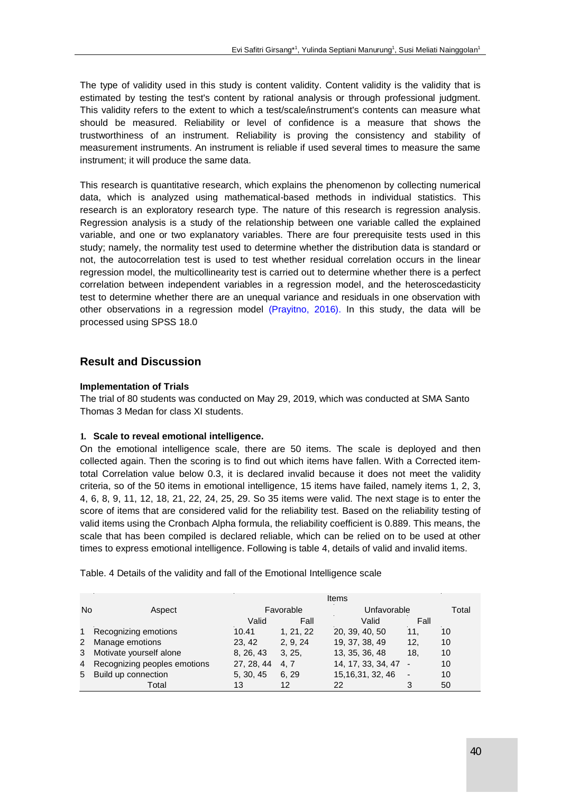The type of validity used in this study is content validity. Content validity is the validity that is estimated by testing the test's content by rational analysis or through professional judgment. This validity refers to the extent to which a test/scale/instrument's contents can measure what should be measured. Reliability or level of confidence is a measure that shows the trustworthiness of an instrument. Reliability is proving the consistency and stability of measurement instruments. An instrument is reliable if used several times to measure the same instrument; it will produce the same data.

This research is quantitative research, which explains the phenomenon by collecting numerical data, which is analyzed using mathematical-based methods in individual statistics. This research is an exploratory research type. The nature of this research is regression analysis. Regression analysis is a study of the relationship between one variable called the explained variable, and one or two explanatory variables. There are four prerequisite tests used in this study; namely, the normality test used to determine whether the distribution data is standard or not, the autocorrelation test is used to test whether residual correlation occurs in the linear regression model, the multicollinearity test is carried out to determine whether there is a perfect correlation between independent variables in a regression model, and the heteroscedasticity test to determine whether there are an unequal variance and residuals in one observation with other observations in a regression model (Prayitno, 2016). In this study, the data will be processed using SPSS 18.0

# **Result and Discussion**

#### **Implementation of Trials**

The trial of 80 students was conducted on May 29, 2019, which was conducted at SMA Santo Thomas 3 Medan for class XI students.

#### **1. Scale to reveal emotional intelligence.**

On the emotional intelligence scale, there are 50 items. The scale is deployed and then collected again. Then the scoring is to find out which items have fallen. With a Corrected itemtotal Correlation value below 0.3, it is declared invalid because it does not meet the validity criteria, so of the 50 items in emotional intelligence, 15 items have failed, namely items 1, 2, 3, 4, 6, 8, 9, 11, 12, 18, 21, 22, 24, 25, 29. So 35 items were valid. The next stage is to enter the score of items that are considered valid for the reliability test. Based on the reliability testing of valid items using the Cronbach Alpha formula, the reliability coefficient is 0.889. This means, the scale that has been compiled is declared reliable, which can be relied on to be used at other times to express emotional intelligence. Following is table 4, details of valid and invalid items.

|              |                                |            |           | Items              |      |       |
|--------------|--------------------------------|------------|-----------|--------------------|------|-------|
| <b>No</b>    | Aspect                         |            | Favorable | Unfavorable        |      | Total |
|              |                                | Valid      | Fall      | Valid              | Fall |       |
| $1 \quad$    | Recognizing emotions           | 10.41      | 1, 21, 22 | 20, 39, 40, 50     | 11.  | 10    |
| $\mathbf{2}$ | Manage emotions                | 23.42      | 2.9.24    | 19, 37, 38, 49     | 12,  | 10    |
| 3            | Motivate yourself alone        | 8, 26, 43  | 3, 25,    | 13, 35, 36, 48     | 18,  | 10    |
|              | 4 Recognizing peoples emotions | 27, 28, 44 | 4.7       | 14, 17, 33, 34, 47 |      | 10    |

5 Build up connection 5, 30, 45 6, 29 15,16,31, 32, 46 - 10

Total 13 12 22 3 50

Table. 4 Details of the validity and fall of the Emotional Intelligence scale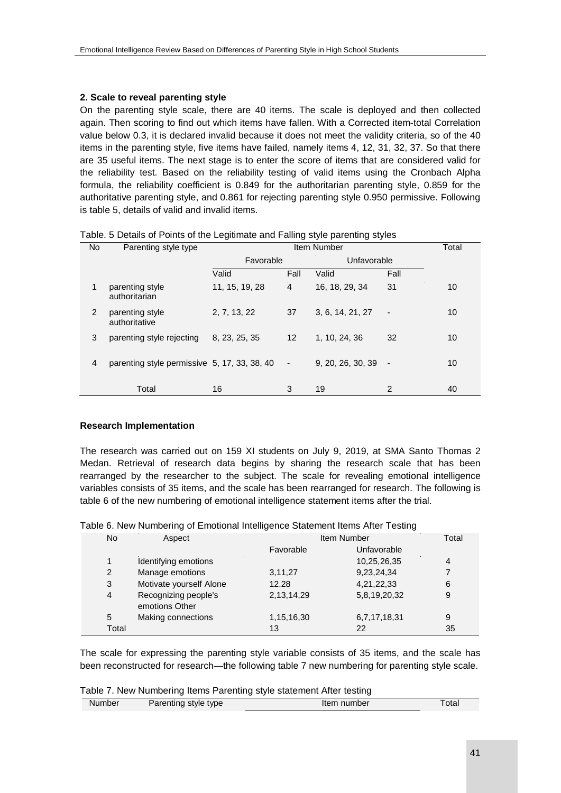## **2. Scale to reveal parenting style**

On the parenting style scale, there are 40 items. The scale is deployed and then collected again. Then scoring to find out which items have fallen. With a Corrected item-total Correlation value below 0.3, it is declared invalid because it does not meet the validity criteria, so of the 40 items in the parenting style, five items have failed, namely items 4, 12, 31, 32, 37. So that there are 35 useful items. The next stage is to enter the score of items that are considered valid for the reliability test. Based on the reliability testing of valid items using the Cronbach Alpha formula, the reliability coefficient is 0.849 for the authoritarian parenting style, 0.859 for the authoritative parenting style, and 0.861 for rejecting parenting style 0.950 permissive. Following is table 5, details of valid and invalid items.

| Lable. 5 Details of Points of the Legitimate and Failing style parenting styles |                                  |                |                 |                  |                          |    |
|---------------------------------------------------------------------------------|----------------------------------|----------------|-----------------|------------------|--------------------------|----|
| No                                                                              | Parenting style type             |                | Item Number     |                  |                          |    |
|                                                                                 |                                  |                | Favorable       |                  | Unfavorable              |    |
|                                                                                 |                                  | Valid          | Fall            | Valid            | Fall                     |    |
| 1                                                                               | parenting style<br>authoritarian | 11, 15, 19, 28 | 4               | 16, 18, 29, 34   | 31                       | 10 |
| 2                                                                               | parenting style<br>authoritative | 2, 7, 13, 22   | 37              | 3, 6, 14, 21, 27 | $\overline{\phantom{a}}$ | 10 |
| 3                                                                               | parenting style rejecting        | 8, 23, 25, 35  | 12 <sup>°</sup> | 1, 10, 24, 36    | 32                       | 10 |

4 parenting style permissive 5, 17, 33, 38, 40 - 9, 20, 26, 30, 39 - 10

Total 16 3 19 2 40

# Table. 5 Details of Points of the Legitimate and Falling style parenting styles

#### **Research Implementation**

The research was carried out on 159 XI students on July 9, 2019, at SMA Santo Thomas 2 Medan. Retrieval of research data begins by sharing the research scale that has been rearranged by the researcher to the subject. The scale for revealing emotional intelligence variables consists of 35 items, and the scale has been rearranged for research. The following is table 6 of the new numbering of emotional intelligence statement items after the trial.

|                |                                        |               | ີ            |    |
|----------------|----------------------------------------|---------------|--------------|----|
| <b>No</b>      | Aspect                                 |               | Item Number  |    |
|                |                                        | Favorable     | Unfavorable  |    |
|                | Identifying emotions                   |               | 10,25,26,35  | 4  |
| 2              | Manage emotions                        | 3,11,27       | 9,23,24,34   |    |
| 3              | Motivate yourself Alone                | 12.28         | 4,21,22,33   | 6  |
| $\overline{4}$ | Recognizing people's<br>emotions Other | 2,13,14,29    | 5,8,19,20,32 | 9  |
| 5              | Making connections                     | 1, 15, 16, 30 | 6,7,17,18,31 | 9  |
| Total          |                                        | 13            | 22           | 35 |

The scale for expressing the parenting style variable consists of 35 items, and the scale has been reconstructed for research—the following table 7 new numbering for parenting style scale.

#### Table 7. New Numbering Items Parenting style statement After testing

| Parenting style type<br>Item number<br>Number | ⊺otal |
|-----------------------------------------------|-------|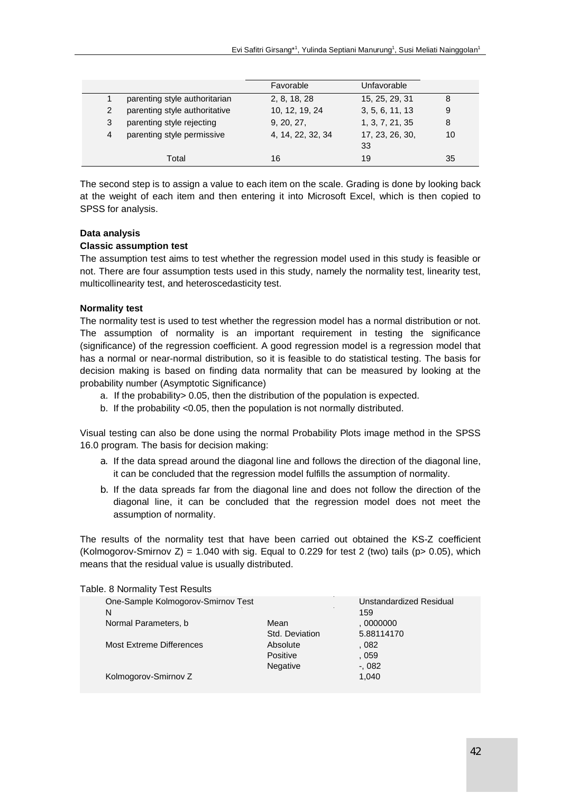|   |                               | Favorable         | Unfavorable     |    |
|---|-------------------------------|-------------------|-----------------|----|
|   | parenting style authoritarian | 2, 8, 18, 28      | 15, 25, 29, 31  | 8  |
| 2 | parenting style authoritative | 10, 12, 19, 24    | 3, 5, 6, 11, 13 | 9  |
| 3 | parenting style rejecting     | 9, 20, 27,        | 1, 3, 7, 21, 35 | 8  |
| 4 | parenting style permissive    | 4, 14, 22, 32, 34 | 17, 23, 26, 30, | 10 |
|   |                               |                   | 33              |    |
|   | Total                         | 16                | 19              | 35 |

The second step is to assign a value to each item on the scale. Grading is done by looking back at the weight of each item and then entering it into Microsoft Excel, which is then copied to SPSS for analysis.

## **Data analysis**

#### **Classic assumption test**

The assumption test aims to test whether the regression model used in this study is feasible or not. There are four assumption tests used in this study, namely the normality test, linearity test, multicollinearity test, and heteroscedasticity test.

#### **Normality test**

The normality test is used to test whether the regression model has a normal distribution or not. The assumption of normality is an important requirement in testing the significance (significance) of the regression coefficient. A good regression model is a regression model that has a normal or near-normal distribution, so it is feasible to do statistical testing. The basis for decision making is based on finding data normality that can be measured by looking at the probability number (Asymptotic Significance)

- a. If the probability> 0.05, then the distribution of the population is expected.
- b. If the probability <0.05, then the population is not normally distributed.

Visual testing can also be done using the normal Probability Plots image method in the SPSS 16.0 program. The basis for decision making:

- a. If the data spread around the diagonal line and follows the direction of the diagonal line, it can be concluded that the regression model fulfills the assumption of normality.
- b. If the data spreads far from the diagonal line and does not follow the direction of the diagonal line, it can be concluded that the regression model does not meet the assumption of normality.

The results of the normality test that have been carried out obtained the KS-Z coefficient (Kolmogorov-Smirnov Z) = 1.040 with sig. Equal to 0.229 for test 2 (two) tails ( $p$  > 0.05), which means that the residual value is usually distributed.

| able. O INUITIAIIIY TEST NESUITS   |                 |                         |
|------------------------------------|-----------------|-------------------------|
| One-Sample Kolmogorov-Smirnov Test |                 | Unstandardized Residual |
| N                                  |                 | 159                     |
| Normal Parameters, b               | Mean            | 0000000                 |
|                                    | Std. Deviation  | 5.88114170              |
| Most Extreme Differences           | Absolute        | . 082                   |
|                                    | Positive        | . 059                   |
|                                    | <b>Negative</b> | $-0.082$                |
| Kolmogorov-Smirnov Z               |                 | 1,040                   |
|                                    |                 |                         |

# Table. 8 Normality Test Results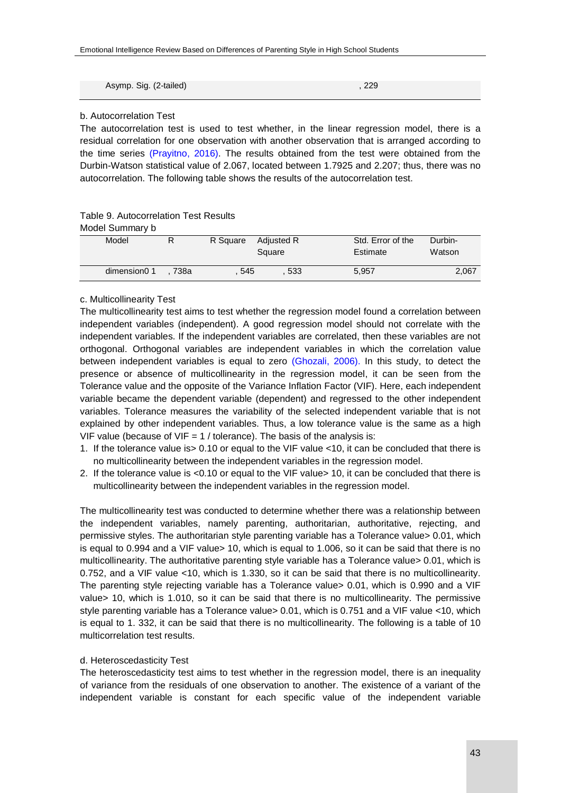| Asymp. Sig. (2-tailed) | 229 |
|------------------------|-----|
|                        |     |

#### b. Autocorrelation Test

The autocorrelation test is used to test whether, in the linear regression model, there is a residual correlation for one observation with another observation that is arranged according to the time series (Prayitno, 2016). The results obtained from the test were obtained from the Durbin-Watson statistical value of 2.067, located between 1.7925 and 2.207; thus, there was no autocorrelation. The following table shows the results of the autocorrelation test.

#### Table 9. Autocorrelation Test Results

Model Summary b

| ט זיוווווואט וסטטווו |      |          |                      |                               |                   |
|----------------------|------|----------|----------------------|-------------------------------|-------------------|
| Model                |      | R Square | Adjusted R<br>Square | Std. Error of the<br>Estimate | Durbin-<br>Watson |
| dimension0 1         | 738a | 545      | 533                  | 5.957                         | 2.067             |

#### c. Multicollinearity Test

The multicollinearity test aims to test whether the regression model found a correlation between independent variables (independent). A good regression model should not correlate with the independent variables. If the independent variables are correlated, then these variables are not orthogonal. Orthogonal variables are independent variables in which the correlation value between independent variables is equal to zero (Ghozali, 2006). In this study, to detect the presence or absence of multicollinearity in the regression model, it can be seen from the Tolerance value and the opposite of the Variance Inflation Factor (VIF). Here, each independent variable became the dependent variable (dependent) and regressed to the other independent variables. Tolerance measures the variability of the selected independent variable that is not explained by other independent variables. Thus, a low tolerance value is the same as a high VIF value (because of VIF =  $1$  / tolerance). The basis of the analysis is:

- 1. If the tolerance value is> 0.10 or equal to the VIF value <10, it can be concluded that there is no multicollinearity between the independent variables in the regression model.
- 2. If the tolerance value is <0.10 or equal to the VIF value> 10, it can be concluded that there is multicollinearity between the independent variables in the regression model.

The multicollinearity test was conducted to determine whether there was a relationship between the independent variables, namely parenting, authoritarian, authoritative, rejecting, and permissive styles. The authoritarian style parenting variable has a Tolerance value> 0.01, which is equal to 0.994 and a VIF value> 10, which is equal to 1.006, so it can be said that there is no multicollinearity. The authoritative parenting style variable has a Tolerance value> 0.01, which is 0.752, and a VIF value <10, which is 1.330, so it can be said that there is no multicollinearity. The parenting style rejecting variable has a Tolerance value> 0.01, which is 0.990 and a VIF value> 10, which is 1.010, so it can be said that there is no multicollinearity. The permissive style parenting variable has a Tolerance value> 0.01, which is 0.751 and a VIF value <10, which is equal to 1. 332, it can be said that there is no multicollinearity. The following is a table of 10 multicorrelation test results.

#### d. Heteroscedasticity Test

The heteroscedasticity test aims to test whether in the regression model, there is an inequality of variance from the residuals of one observation to another. The existence of a variant of the independent variable is constant for each specific value of the independent variable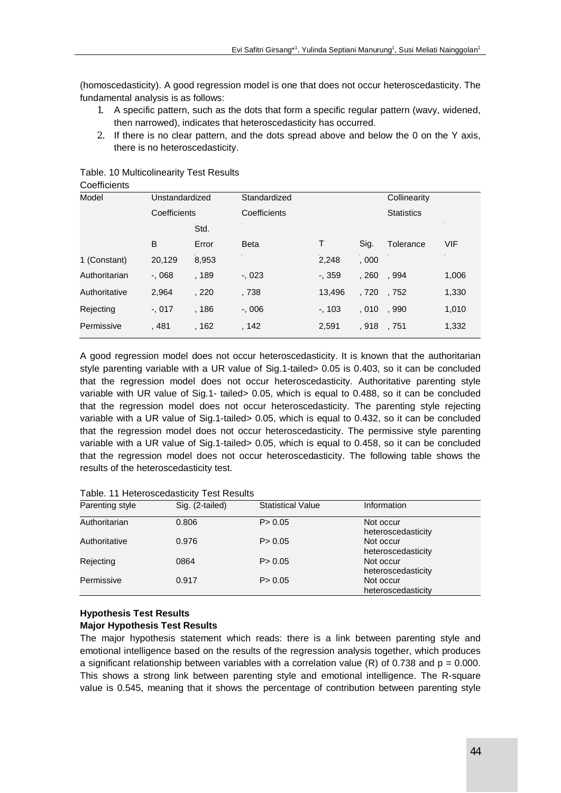(homoscedasticity). A good regression model is one that does not occur heteroscedasticity. The fundamental analysis is as follows:

- 1. A specific pattern, such as the dots that form a specific regular pattern (wavy, widened, then narrowed), indicates that heteroscedasticity has occurred.
- 2. If there is no clear pattern, and the dots spread above and below the 0 on the Y axis, there is no heteroscedasticity.

| <b>UUGIIIUIGIII</b> O   |              |              |              |           |              |                   |            |
|-------------------------|--------------|--------------|--------------|-----------|--------------|-------------------|------------|
| Model<br>Unstandardized |              | Standardized |              |           | Collinearity |                   |            |
|                         | Coefficients |              | Coefficients |           |              | <b>Statistics</b> |            |
|                         |              | Std.         |              |           |              |                   |            |
|                         | B            | Error        | <b>Beta</b>  | T.        | Sig.         | Tolerance         | <b>VIF</b> |
| 1 (Constant)            | 20,129       | 8,953        |              | 2,248     | .000         |                   |            |
| Authoritarian           | $-068$       | . 189        | $-0.023$     | $-0.359$  | , 260        | . 994             | 1,006      |
| Authoritative           | 2,964        | , 220        | , 738        | 13,496    | , 720        | . 752             | 1,330      |
| Rejecting               | $-0.017$     | .186         | $-0.006$     | $-$ , 103 | .010         | , 990             | 1,010      |
| Permissive              | , 481        | . 162        | , 142        | 2,591     | . 918        | . 751             | 1,332      |
|                         |              |              |              |           |              |                   |            |

Table. 10 Multicolinearity Test Results Coefficients

A good regression model does not occur heteroscedasticity. It is known that the authoritarian style parenting variable with a UR value of Sig.1-tailed> 0.05 is 0.403, so it can be concluded that the regression model does not occur heteroscedasticity. Authoritative parenting style variable with UR value of Sig.1- tailed> 0.05, which is equal to 0.488, so it can be concluded that the regression model does not occur heteroscedasticity. The parenting style rejecting variable with a UR value of Sig.1-tailed> 0.05, which is equal to 0.432, so it can be concluded that the regression model does not occur heteroscedasticity. The permissive style parenting variable with a UR value of Sig.1-tailed> 0.05, which is equal to 0.458, so it can be concluded that the regression model does not occur heteroscedasticity. The following table shows the results of the heteroscedasticity test.

| . 5.001         |                 |                          |                                 |  |
|-----------------|-----------------|--------------------------|---------------------------------|--|
| Parenting style | Sig. (2-tailed) | <b>Statistical Value</b> | Information                     |  |
| Authoritarian   | 0.806           | P > 0.05                 | Not occur<br>heteroscedasticity |  |
| Authoritative   | 0.976           | P > 0.05                 | Not occur<br>heteroscedasticity |  |
| Rejecting       | 0864            | P > 0.05                 | Not occur<br>heteroscedasticity |  |
| Permissive      | 0.917           | P > 0.05                 | Not occur<br>heteroscedasticity |  |

Table. 11 Heteroscedasticity Test Results

## **Hypothesis Test Results Major Hypothesis Test Results**

The major hypothesis statement which reads: there is a link between parenting style and emotional intelligence based on the results of the regression analysis together, which produces a significant relationship between variables with a correlation value (R) of 0.738 and  $p = 0.000$ . This shows a strong link between parenting style and emotional intelligence. The R-square value is 0.545, meaning that it shows the percentage of contribution between parenting style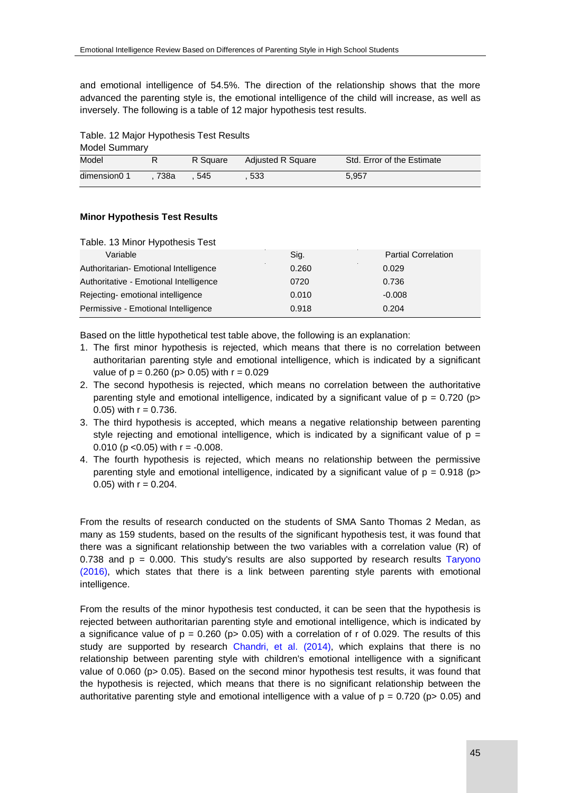and emotional intelligence of 54.5%. The direction of the relationship shows that the more advanced the parenting style is, the emotional intelligence of the child will increase, as well as inversely. The following is a table of 12 major hypothesis test results.

Table. 12 Major Hypothesis Test Results

| <b>Model Summary</b> |      |          |                          |                            |
|----------------------|------|----------|--------------------------|----------------------------|
| Model                |      | R Square | <b>Adjusted R Square</b> | Std. Error of the Estimate |
| dimension0 1         | 738a | 545      | 533                      | 5.957                      |

#### **Minor Hypothesis Test Results**

#### Table. 13 Minor Hypothesis Test

| Variable                               | Sig.  | <b>Partial Correlation</b> |
|----------------------------------------|-------|----------------------------|
| Authoritarian- Emotional Intelligence  | 0.260 | 0.029                      |
| Authoritative - Emotional Intelligence | 0720  | 0.736                      |
| Rejecting-emotional intelligence       | 0.010 | $-0.008$                   |
| Permissive - Emotional Intelligence    | 0.918 | 0.204                      |

Based on the little hypothetical test table above, the following is an explanation:

- 1. The first minor hypothesis is rejected, which means that there is no correlation between authoritarian parenting style and emotional intelligence, which is indicated by a significant value of  $p = 0.260$  ( $p > 0.05$ ) with  $r = 0.029$
- 2. The second hypothesis is rejected, which means no correlation between the authoritative parenting style and emotional intelligence, indicated by a significant value of  $p = 0.720$  (p> 0.05) with  $r = 0.736$ .
- 3. The third hypothesis is accepted, which means a negative relationship between parenting style rejecting and emotional intelligence, which is indicated by a significant value of  $p =$ 0.010 ( $p$  < 0.05) with  $r = -0.008$ .
- 4. The fourth hypothesis is rejected, which means no relationship between the permissive parenting style and emotional intelligence, indicated by a significant value of  $p = 0.918$  ( $p >$ 0.05) with  $r = 0.204$ .

From the results of research conducted on the students of SMA Santo Thomas 2 Medan, as many as 159 students, based on the results of the significant hypothesis test, it was found that there was a significant relationship between the two variables with a correlation value (R) of  $0.738$  and  $p = 0.000$ . This study's results are also supported by research results Taryono (2016), which states that there is a link between parenting style parents with emotional intelligence.

From the results of the minor hypothesis test conducted, it can be seen that the hypothesis is rejected between authoritarian parenting style and emotional intelligence, which is indicated by a significance value of  $p = 0.260$  ( $p > 0.05$ ) with a correlation of r of 0.029. The results of this study are supported by research Chandri, et al. (2014), which explains that there is no relationship between parenting style with children's emotional intelligence with a significant value of 0.060 (p> 0.05). Based on the second minor hypothesis test results, it was found that the hypothesis is rejected, which means that there is no significant relationship between the authoritative parenting style and emotional intelligence with a value of  $p = 0.720$  ( $p > 0.05$ ) and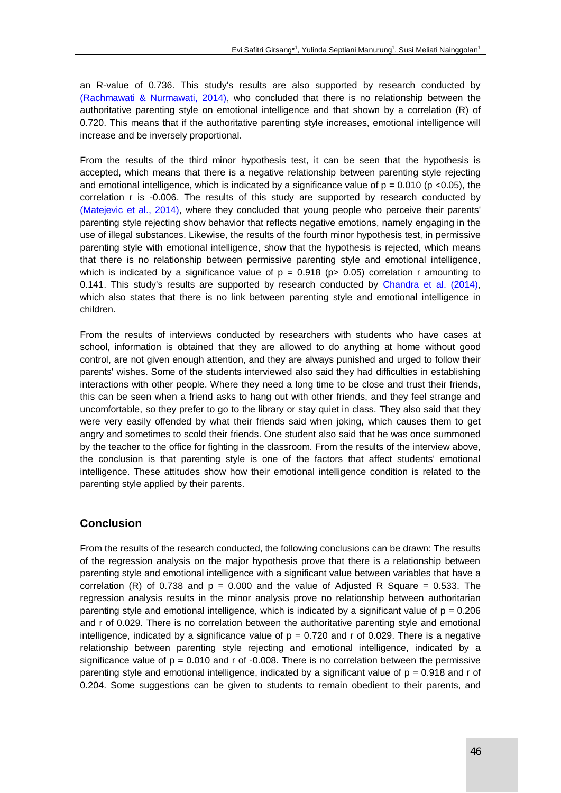an R-value of 0.736. This study's results are also supported by research conducted by (Rachmawati & Nurmawati, 2014), who concluded that there is no relationship between the authoritative parenting style on emotional intelligence and that shown by a correlation (R) of 0.720. This means that if the authoritative parenting style increases, emotional intelligence will increase and be inversely proportional.

From the results of the third minor hypothesis test, it can be seen that the hypothesis is accepted, which means that there is a negative relationship between parenting style rejecting and emotional intelligence, which is indicated by a significance value of  $p = 0.010$  ( $p < 0.05$ ), the correlation r is -0.006. The results of this study are supported by research conducted by (Matejevic et al., 2014), where they concluded that young people who perceive their parents' parenting style rejecting show behavior that reflects negative emotions, namely engaging in the use of illegal substances. Likewise, the results of the fourth minor hypothesis test, in permissive parenting style with emotional intelligence, show that the hypothesis is rejected, which means that there is no relationship between permissive parenting style and emotional intelligence, which is indicated by a significance value of  $p = 0.918$  ( $p > 0.05$ ) correlation r amounting to 0.141. This study's results are supported by research conducted by Chandra et al. (2014), which also states that there is no link between parenting style and emotional intelligence in children.

From the results of interviews conducted by researchers with students who have cases at school, information is obtained that they are allowed to do anything at home without good control, are not given enough attention, and they are always punished and urged to follow their parents' wishes. Some of the students interviewed also said they had difficulties in establishing interactions with other people. Where they need a long time to be close and trust their friends, this can be seen when a friend asks to hang out with other friends, and they feel strange and uncomfortable, so they prefer to go to the library or stay quiet in class. They also said that they were very easily offended by what their friends said when joking, which causes them to get angry and sometimes to scold their friends. One student also said that he was once summoned by the teacher to the office for fighting in the classroom. From the results of the interview above, the conclusion is that parenting style is one of the factors that affect students' emotional intelligence. These attitudes show how their emotional intelligence condition is related to the parenting style applied by their parents.

# **Conclusion**

From the results of the research conducted, the following conclusions can be drawn: The results of the regression analysis on the major hypothesis prove that there is a relationship between parenting style and emotional intelligence with a significant value between variables that have a correlation (R) of 0.738 and  $p = 0.000$  and the value of Adjusted R Square = 0.533. The regression analysis results in the minor analysis prove no relationship between authoritarian parenting style and emotional intelligence, which is indicated by a significant value of  $p = 0.206$ and r of 0.029. There is no correlation between the authoritative parenting style and emotional intelligence, indicated by a significance value of  $p = 0.720$  and r of 0.029. There is a negative relationship between parenting style rejecting and emotional intelligence, indicated by a significance value of  $p = 0.010$  and r of -0.008. There is no correlation between the permissive parenting style and emotional intelligence, indicated by a significant value of  $p = 0.918$  and r of 0.204. Some suggestions can be given to students to remain obedient to their parents, and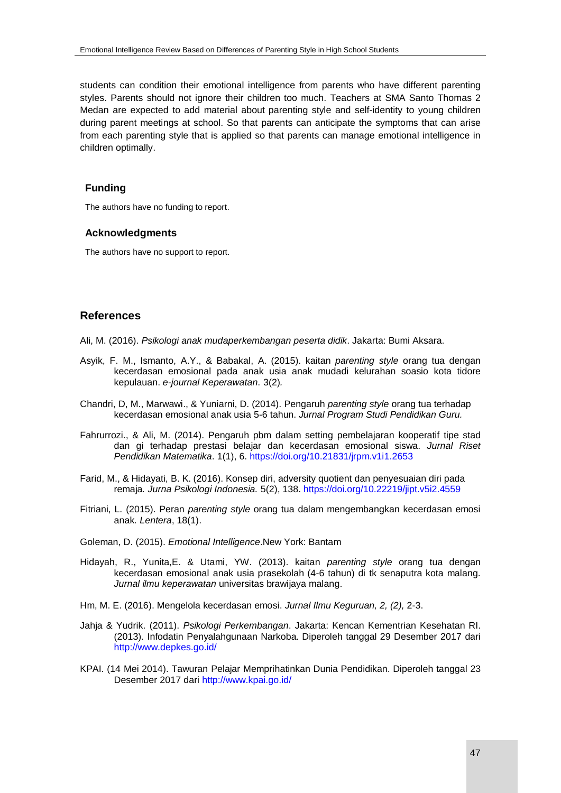students can condition their emotional intelligence from parents who have different parenting styles. Parents should not ignore their children too much. Teachers at SMA Santo Thomas 2 Medan are expected to add material about parenting style and self-identity to young children during parent meetings at school. So that parents can anticipate the symptoms that can arise from each parenting style that is applied so that parents can manage emotional intelligence in children optimally.

# **Funding**

The authors have no funding to report.

#### **Acknowledgments**

The authors have no support to report.

# **References**

Ali, M. (2016). *Psikologi anak mudaperkembangan peserta didik*. Jakarta: Bumi Aksara.

- Asyik, F. M., Ismanto, A.Y., & Babakal, A. (2015). kaitan *parenting style* orang tua dengan kecerdasan emosional pada anak usia anak mudadi kelurahan soasio kota tidore kepulauan. *e-journal Keperawatan*. 3(2)*.*
- Chandri, D, M., Marwawi., & Yuniarni, D. (2014). Pengaruh *parenting style* orang tua terhadap kecerdasan emosional anak usia 5-6 tahun. *Jurnal Program Studi Pendidikan Guru.*
- Fahrurrozi., & Ali, M. (2014). Pengaruh pbm dalam setting pembelajaran kooperatif tipe stad dan gi terhadap prestasi belajar dan kecerdasan emosional siswa. *Jurnal Riset Pendidikan Matematika*. 1(1), 6. <https://doi.org/10.21831/jrpm.v1i1.2653>
- Farid, M., & Hidayati, B. K. (2016). Konsep diri, adversity quotient dan penyesuaian diri pada remaja*. Jurna Psikologi Indonesia.* 5(2), 138. <https://doi.org/10.22219/jipt.v5i2.4559>
- Fitriani, L. (2015). Peran *parenting style* orang tua dalam mengembangkan kecerdasan emosi anak*. Lentera*, 18(1).
- Goleman, D. (2015). *Emotional Intelligence*.New York: Bantam
- Hidayah, R., Yunita,E. & Utami, YW. (2013). kaitan *parenting style* orang tua dengan kecerdasan emosional anak usia prasekolah (4-6 tahun) di tk senaputra kota malang. *Jurnal ilmu keperawatan* universitas brawijaya malang.
- Hm, M. E. (2016). Mengelola kecerdasan emosi. *Jurnal Ilmu Keguruan, 2, (2),* 2-3.
- Jahja & Yudrik. (2011). *Psikologi Perkembangan*. Jakarta: Kencan Kementrian Kesehatan RI. (2013). Infodatin Penyalahgunaan Narkoba. Diperoleh tanggal 29 Desember 2017 dari <http://www.depkes.go.id/>
- KPAI. (14 Mei 2014). Tawuran Pelajar Memprihatinkan Dunia Pendidikan. Diperoleh tanggal 23 Desember 2017 dari <http://www.kpai.go.id/>